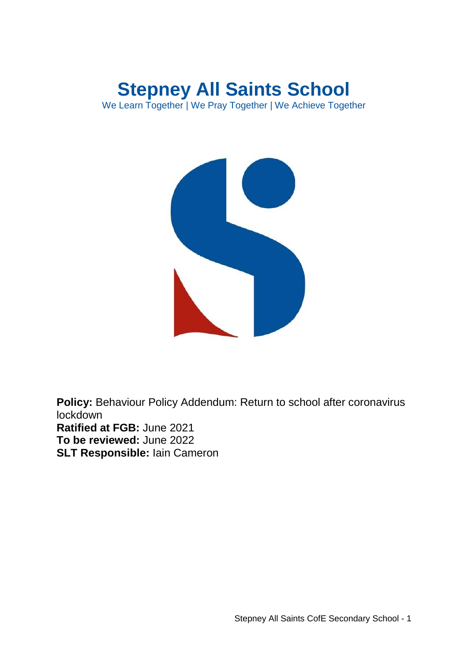# **Stepney All Saints School**

We Learn Together | We Pray Together | We Achieve Together



**Policy:** Behaviour Policy Addendum: Return to school after coronavirus lockdown **Ratified at FGB:** June 2021 **To be reviewed:** June 2022 **SLT Responsible:** Iain Cameron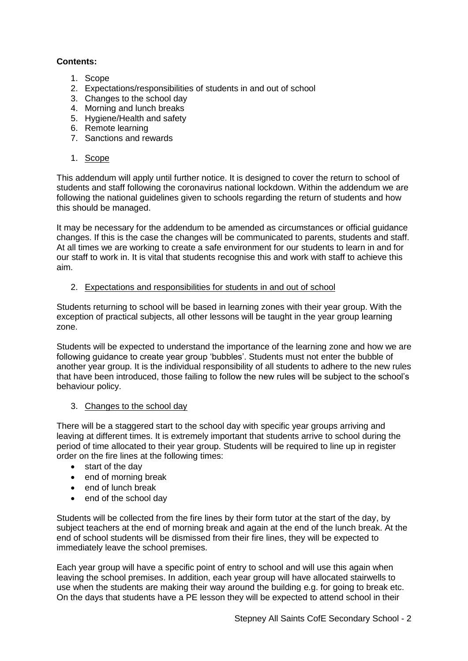# **Contents:**

- 1. Scope
- 2. Expectations/responsibilities of students in and out of school
- 3. Changes to the school day
- 4. Morning and lunch breaks
- 5. Hygiene/Health and safety
- 6. Remote learning
- 7. Sanctions and rewards
- 1. Scope

This addendum will apply until further notice. It is designed to cover the return to school of students and staff following the coronavirus national lockdown. Within the addendum we are following the national guidelines given to schools regarding the return of students and how this should be managed.

It may be necessary for the addendum to be amended as circumstances or official guidance changes. If this is the case the changes will be communicated to parents, students and staff. At all times we are working to create a safe environment for our students to learn in and for our staff to work in. It is vital that students recognise this and work with staff to achieve this aim.

# 2. Expectations and responsibilities for students in and out of school

Students returning to school will be based in learning zones with their year group. With the exception of practical subjects, all other lessons will be taught in the year group learning zone.

Students will be expected to understand the importance of the learning zone and how we are following guidance to create year group 'bubbles'. Students must not enter the bubble of another year group. It is the individual responsibility of all students to adhere to the new rules that have been introduced, those failing to follow the new rules will be subject to the school's behaviour policy.

# 3. Changes to the school day

There will be a staggered start to the school day with specific year groups arriving and leaving at different times. It is extremely important that students arrive to school during the period of time allocated to their year group. Students will be required to line up in register order on the fire lines at the following times:

- start of the day
- end of morning break
- end of lunch break
- end of the school day

Students will be collected from the fire lines by their form tutor at the start of the day, by subject teachers at the end of morning break and again at the end of the lunch break. At the end of school students will be dismissed from their fire lines, they will be expected to immediately leave the school premises.

Each year group will have a specific point of entry to school and will use this again when leaving the school premises. In addition, each year group will have allocated stairwells to use when the students are making their way around the building e.g. for going to break etc. On the days that students have a PE lesson they will be expected to attend school in their